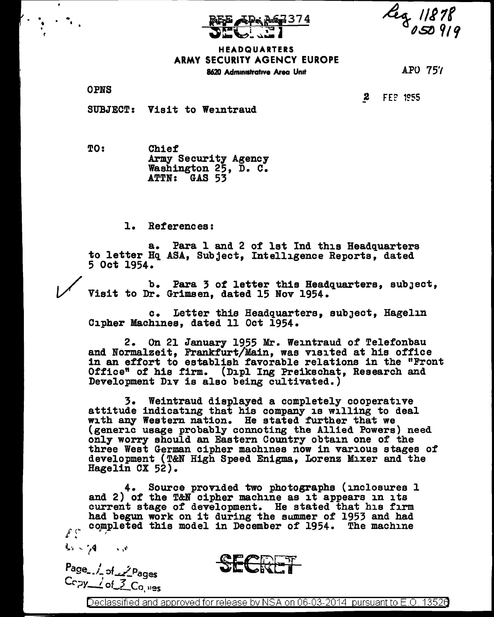

leg 11878 dstJ *91'1* 

## HEADQUARTERS ARMY SECURITY AGENCY EUROPE 8620 Administrative Area Unit

APO 75'/

OPNS

• '

• •

 $\bullet$ 

**2** FEP 1955

SUBJECT: Visit to Weintraud

TO: Chief<br>Army Security Agency Washington  $25$ , D. C. ATTN: GAS 53

1. References:

a. Para l and 2 of 1st Ind this Headquarters to letter Hq ASA, Subject, Intelligence Reports, dated 5 Oct 1954.

b. Para 3 of letter this Headquarters, subJect, Visit to Dr. Grimsen, dated 15 Nov 1954.

c. Letter this Headquarters, subJect, Hagelin Cipher Machines, dated 11 Oct 1954.

2. On 21 January 1955 Mr. Weintraud of Telefonbau and Normalzeit, Frankfurt/Main, was visited at his office in an effort to establish favorable relations in the "Front Office" of his firm. (Dipl Ing Preikschat, Research and Development Div is also being cultivated.)

3. Weintraud displayed a completely cooperative attitude indicating that his company is willing to deal with any Western nation. He stated further that we (generic usage probably connoting the Allied Powers) need only worry should an Eastern Country obtain one of the three West German cipher machines now in various stages of development (T&N High Speed Enigma, Lorenz Mixer and the Hagelin OX 52).

4. Source provided two photographs (inclosures 1 and 2) of the T&N cipher machine as it appears in its current stage of development. He stated that his firm had begun work on it during the summer of 1953 and had completed this model in December of 1954. The machine  $\int_0^{\infty}$ 

 $\mathcal{L}_2 \sim \mathcal{A} \longrightarrow \mathcal{A}$ 

Page 1 of 2 Pages<br>Ccpy <u>dof 3</u> Co<sub>, 1195</sub>

Declassified and approved for release by NSA on 06-03-2014 pursuant to E.O. 13526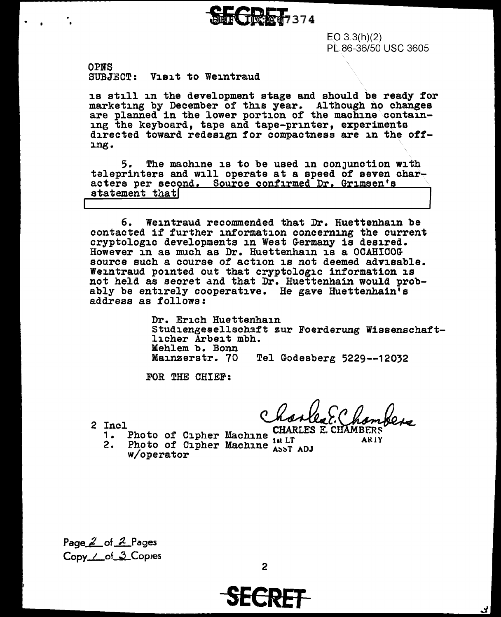

 $EO 3.3(h)(2)$ PL.86-36/50 USC 3605

OPNS SUBJECT: Visit to Weintraud

is still in the development stage and should be ready for marketing by December of this year. Although no changes are planned in the lower portion of the machine containing the keyboard, tape and tape-printer, experiments directed toward redesign for compactness are in the offing.

5. The machine is to be used in conJunction with teleprinters and will operate at a speed of seven char-<br>acters per second. Source confirmed Dr. Grimsen's statement that

6. Weintraud recommended that Dr. Huettenhain be contacted if further information concerning the current cryptologic developments in West Germany is desired. However in as much as Dr. Huettenhain is a OCAHICOG source such a course of action is not deemed advisable. Weintraud pointed out that cryptologic information is not held as secret and that Dr. Huettenhain would prob-<br>ably be entirely cooperative. He gave Huettenhain's address as follows:

> Dr. Erich Huettenhain Studiengesellschaft zur Foerderung Wissenschaftlicher Arbeit mbh. Mehlem b. Bonn<br>Mainzerstr. 70 Tel Godesberg 5229--12032

FOR THE CHIEF:

Incl<br>1. Photo of Cipher Machine CHARLES E. CHAMBERS

2 Incl<br>1. 1

•. :I

2. Photo of Cipher Machine Asst ADJ w/operator

Page <u>2</u> of 2 Pages Copy./of.3.Copies

**SECRET**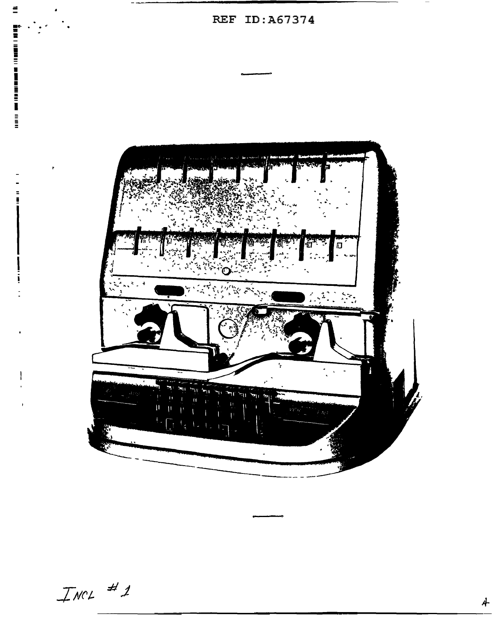$\equiv$ REF ID: A67374 i<br>E 僃 é  $\Box$  $z = 4$ 

 $I$ NCL  $# 1$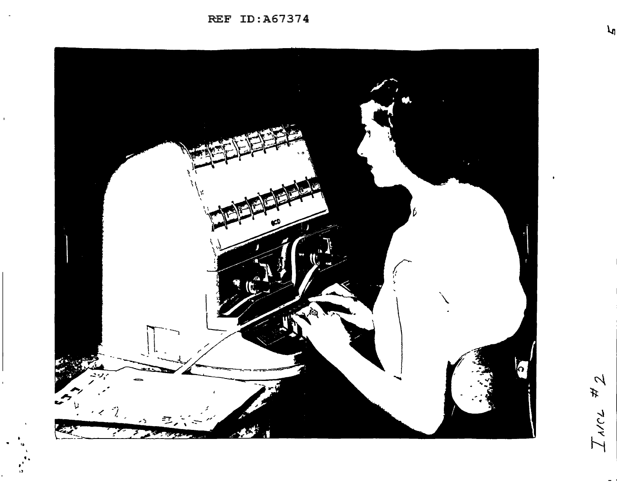REF ID:A67374

 $\mathbf{r}$ 



 $\mathcal{A}$ 坏 マンマ